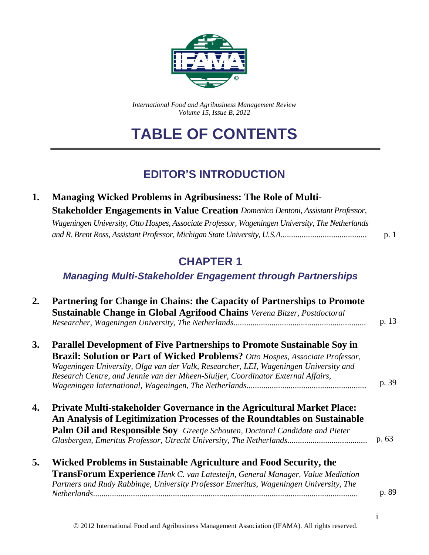

*International Food and Agribusiness Management Review Volume 15, Issue B, 2012*

# **TABLE OF CONTENTS**

## **EDITOR'S INTRODUCTION**

| <b>Managing Wicked Problems in Agribusiness: The Role of Multi-</b>                             |     |
|-------------------------------------------------------------------------------------------------|-----|
| <b>Stakeholder Engagements in Value Creation</b> Domenico Dentoni, Assistant Professor,         |     |
| Wageningen University, Otto Hospes, Associate Professor, Wageningen University, The Netherlands |     |
|                                                                                                 | p.1 |

## **CHAPTER 1**

### *Managing Multi-Stakeholder Engagement through Partnerships*

| 2.        | Partnering for Change in Chains: the Capacity of Partnerships to Promote<br>Sustainable Change in Global Agrifood Chains Verena Bitzer, Postdoctoral                                                                                                                                                                                                | p. 13 |
|-----------|-----------------------------------------------------------------------------------------------------------------------------------------------------------------------------------------------------------------------------------------------------------------------------------------------------------------------------------------------------|-------|
| <b>3.</b> | <b>Parallel Development of Five Partnerships to Promote Sustainable Soy in</b><br><b>Brazil: Solution or Part of Wicked Problems?</b> Otto Hospes, Associate Professor,<br>Wageningen University, Olga van der Valk, Researcher, LEI, Wageningen University and<br>Research Centre, and Jennie van der Mheen-Sluijer, Coordinator External Affairs, | p. 39 |
| 4.        | Private Multi-stakeholder Governance in the Agricultural Market Place:<br>An Analysis of Legitimization Processes of the Roundtables on Sustainable<br>Palm Oil and Responsible Soy Greetje Schouten, Doctoral Candidate and Pieter                                                                                                                 | p. 63 |
| 5.        | Wicked Problems in Sustainable Agriculture and Food Security, the<br><b>TransForum Experience</b> Henk C. van Latesteijn, General Manager, Value Mediation<br>Partners and Rudy Rabbinge, University Professor Emeritus, Wageningen University, The                                                                                                 | p. 89 |

i